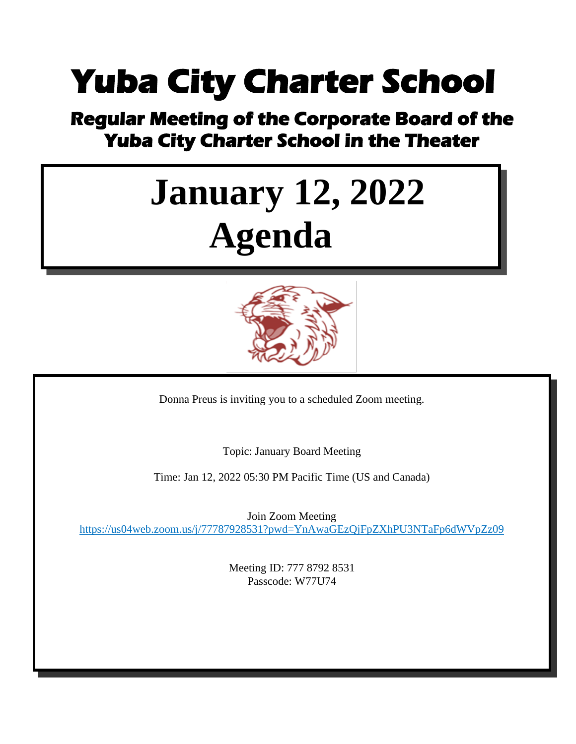### **Yuba City Charter School**

## **Regular Meeting of the Corporate Board of the Yuba City Charter School in the Theater**

# **January 12, 2022 Agenda**



Donna Preus is inviting you to a scheduled Zoom meeting.

Topic: January Board Meeting

Time: Jan 12, 2022 05:30 PM Pacific Time (US and Canada)

Join Zoom Meeting <https://us04web.zoom.us/j/77787928531?pwd=YnAwaGEzQjFpZXhPU3NTaFp6dWVpZz09>

> Meeting ID: 777 8792 8531 Passcode: W77U74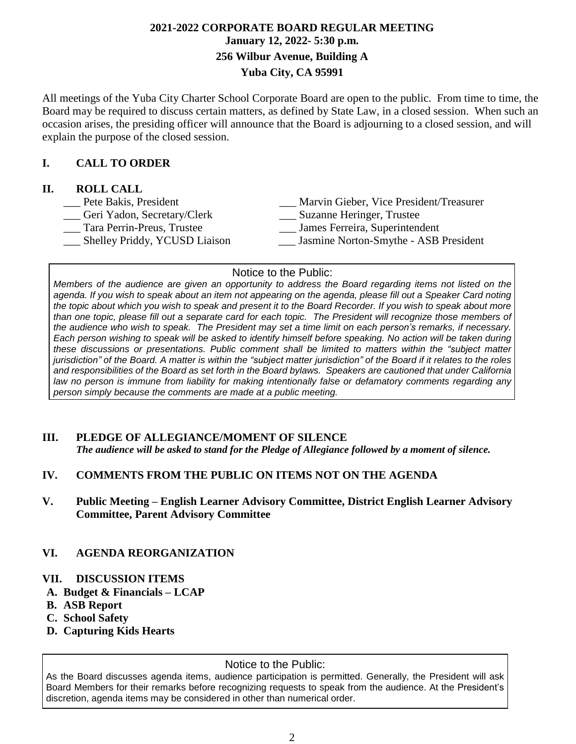#### **2021-2022 CORPORATE BOARD REGULAR MEETING January 12, 2022- 5:30 p.m. 256 Wilbur Avenue, Building A Yuba City, CA 95991**

All meetings of the Yuba City Charter School Corporate Board are open to the public. From time to time, the Board may be required to discuss certain matters, as defined by State Law, in a closed session. When such an occasion arises, the presiding officer will announce that the Board is adjourning to a closed session, and will explain the purpose of the closed session.

#### **I. CALL TO ORDER**

#### **II. ROLL CALL**

| Pete Bakis, President         | Marvin Gieber, Vice President/Treasurer |
|-------------------------------|-----------------------------------------|
| Geri Yadon, Secretary/Clerk   | Suzanne Heringer, Trustee               |
| Tara Perrin-Preus, Trustee    | James Ferreira, Superintendent          |
| Shelley Priddy, YCUSD Liaison | Jasmine Norton-Smythe - ASB President   |
|                               |                                         |

#### Notice to the Public:

Members of the audience are given an opportunity to address the Board regarding items not listed on the agenda. If you wish to speak about an item not appearing on the agenda, please fill out a Speaker Card noting the topic about which you wish to speak and present it to the Board Recorder. If you wish to speak about more than one topic, please fill out a separate card for each topic. The President will recognize those members of the audience who wish to speak. The President may set a time limit on each person's remarks, if necessary. Each person wishing to speak will be asked to identify himself before speaking. No action will be taken during *these discussions or presentations. Public comment shall be limited to matters within the "subject matter* jurisdiction" of the Board. A matter is within the "subject matter jurisdiction" of the Board if it relates to the roles and responsibilities of the Board as set forth in the Board bylaws. Speakers are cautioned that under California *law no person is immune from liability for making intentionally false or defamatory comments regarding any person simply because the comments are made at a public meeting.*

#### **III. PLEDGE OF ALLEGIANCE/MOMENT OF SILENCE**

*The audience will be asked to stand for the Pledge of Allegiance followed by a moment of silence.*

#### **IV. COMMENTS FROM THE PUBLIC ON ITEMS NOT ON THE AGENDA**

**V. Public Meeting – English Learner Advisory Committee, District English Learner Advisory Committee, Parent Advisory Committee**

#### **VI. AGENDA REORGANIZATION**

#### **VII. DISCUSSION ITEMS**

- **A. Budget & Financials – LCAP**
- **B. ASB Report**
- **C. School Safety**
- **D. Capturing Kids Hearts**

#### Notice to the Public:

As the Board discusses agenda items, audience participation is permitted. Generally, the President will ask Board Members for their remarks before recognizing requests to speak from the audience. At the President's discretion, agenda items may be considered in other than numerical order.